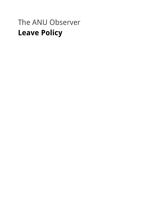# The ANU Observer **Leave Policy**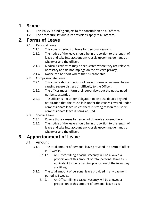## **1. Scope**

- 1.1. This Policy is binding subject to the constitution on all officers.
- 1.2. The procedure set out in its provisions apply to all officers.

## **2. Forms of Leave**

- 2.1. Personal Leave
	- 2.1.1. This covers periods of leave for personal reasons.
	- 2.1.2. The notice of the leave should be in proportion to the length of leave and take into account any closely upcoming demands on Observer and the officer.
	- 2.1.3. Medical Certificates may be requested where they are relevant, necessary and do not impinge on the officer's privacy.
	- 2.1.4. Notice can be short where that is reasonable.
- 2.2. Compassionate Leave
	- 2.2.1. This covers shorter periods of leave in cases of, external forces causing severe distress or difficulty to the Officer.
	- 2.2.2. The officer must inform their supervisor, but the notice need not be substantial.
	- 2.2.3. The Officer is not under obligation to disclose details beyond notification that the cause falls under the causes covered under compassionate leave unless there is strong reason to suspect compassionate leave is being abused.
- 2.3. Special Leave
	- 2.3.1. Covers those causes for leave not otherwise covered here.
	- 2.3.2. The notice of the leave should be in proportion to the length of leave and take into account any closely upcoming demands on Observer and the officer.

# **3. Apportionment of Leave**

### 3.1. Amount

- 3.1.1. The total amount of personal leave provided in a term of office is 10 weeks.
	- 3.1.1.1. An Officer filling a casual vacancy will be allowed a proportion of this amount of total personal leave as is equivalent to the remaining proportion of the term they are filling.
- 3.1.2. The total amount of personal leave provided in any payment period is 3 weeks.
	- 3.1.2.1. An Officer filling a casual vacancy will be allowed a proportion of this amount of personal leave as is